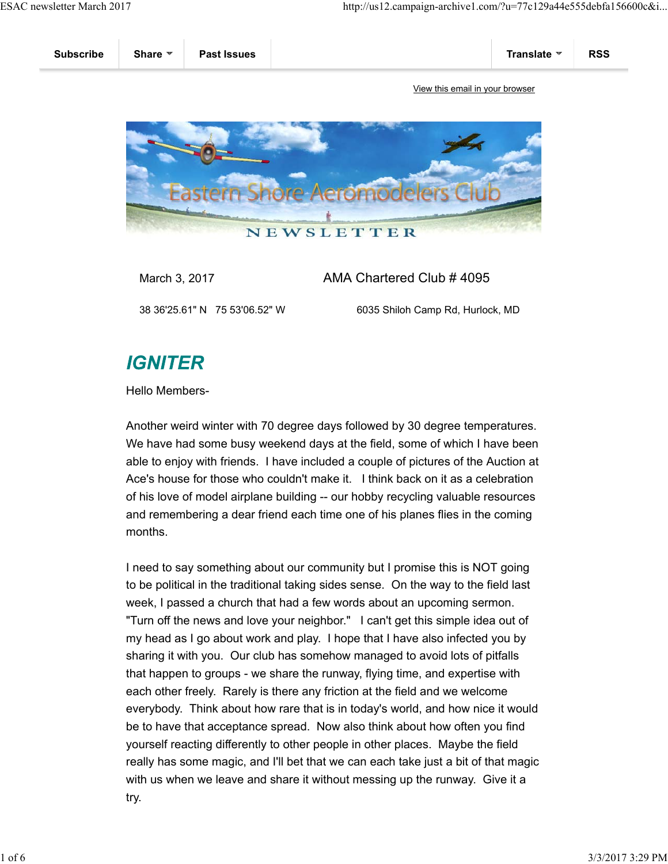

March 3, 2017 **AMA Chartered Club # 4095** 

38 36'25.61" N 75 53'06.52" W 6035 Shiloh Camp Rd, Hurlock, MD

## **IGNITER**

Hello Members-

Another weird winter with 70 degree days followed by 30 degree temperatures. We have had some busy weekend days at the field, some of which I have been able to enjoy with friends. I have included a couple of pictures of the Auction at Ace's house for those who couldn't make it. I think back on it as a celebration of his love of model airplane building -- our hobby recycling valuable resources and remembering a dear friend each time one of his planes flies in the coming months.

I need to say something about our community but I promise this is NOT going to be political in the traditional taking sides sense. On the way to the field last week, I passed a church that had a few words about an upcoming sermon. "Turn off the news and love your neighbor." I can't get this simple idea out of my head as I go about work and play. I hope that I have also infected you by sharing it with you. Our club has somehow managed to avoid lots of pitfalls that happen to groups - we share the runway, flying time, and expertise with each other freely. Rarely is there any friction at the field and we welcome everybody. Think about how rare that is in today's world, and how nice it would be to have that acceptance spread. Now also think about how often you find yourself reacting differently to other people in other places. Maybe the field really has some magic, and I'll bet that we can each take just a bit of that magic with us when we leave and share it without messing up the runway. Give it a try.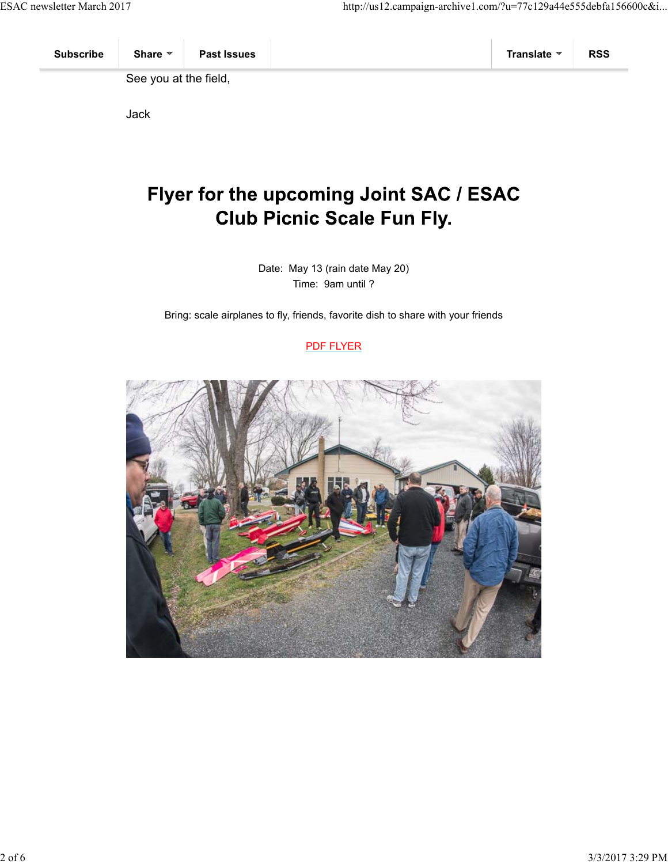See you at the field,

Jack

## Flyer for the upcoming Joint SAC / ESAC **Club Picnic Scale Fun Fly.**

Date: May 13 (rain date May 20) Time: 9am until ?

Bring: scale airplanes to fly, friends, favorite dish to share with your friends

PDF FLYER

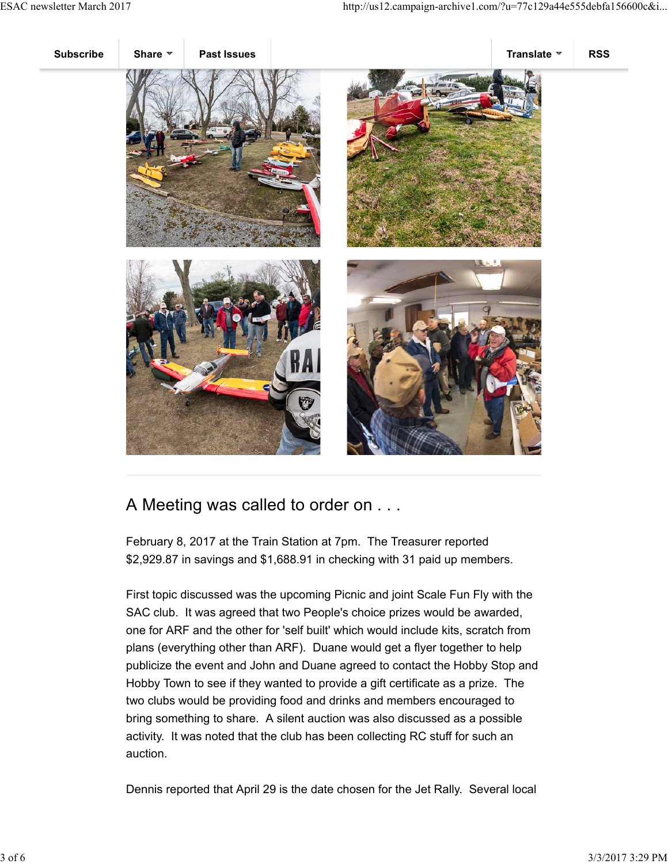

## A Meeting was called to order on . . .

February 8, 2017 at the Train Station at 7pm. The Treasurer reported \$2,929.87 in savings and \$1,688.91 in checking with 31 paid up members.

First topic discussed was the upcoming Picnic and joint Scale Fun Fly with the SAC club. It was agreed that two People's choice prizes would be awarded, one for ARF and the other for 'self built' which would include kits, scratch from plans (everything other than ARF). Duane would get a flyer together to help publicize the event and John and Duane agreed to contact the Hobby Stop and Hobby Town to see if they wanted to provide a gift certificate as a prize. The two clubs would be providing food and drinks and members encouraged to bring something to share. A silent auction was also discussed as a possible activity. It was noted that the club has been collecting RC stuff for such an auction.

Dennis reported that April 29 is the date chosen for the Jet Rally. Several local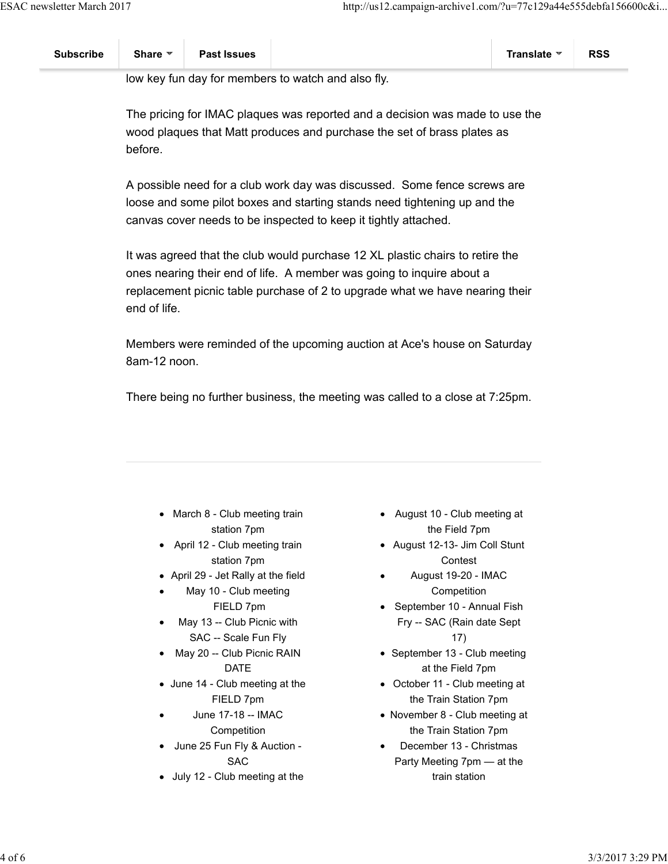low key fun day for members to watch and also fly.

The pricing for IMAC plaques was reported and a decision was made to use the wood plaques that Matt produces and purchase the set of brass plates as before.

A possible need for a club work day was discussed. Some fence screws are loose and some pilot boxes and starting stands need tightening up and the canvas cover needs to be inspected to keep it tightly attached.

It was agreed that the club would purchase 12 XL plastic chairs to retire the ones nearing their end of life. A member was going to inquire about a replacement picnic table purchase of 2 to upgrade what we have nearing their end of life.

Members were reminded of the upcoming auction at Ace's house on Saturday 8am-12 noon.

There being no further business, the meeting was called to a close at 7:25pm.

- March 8 Club meeting train station 7pm
- April 12 Club meeting train station 7pm
- April 29 Jet Rally at the field
- May 10 Club meeting FIELD 7pm
- May 13 -- Club Picnic with SAC -- Scale Fun Fly
- May 20 -- Club Picnic RAIN DATE
- June 14 Club meeting at the FIELD 7pm
- June 17-18 -- IMAC Competition
- June 25 Fun Fly & Auction SAC
- July 12 Club meeting at the
- August 10 Club meeting at the Field 7pm
- August 12-13- Jim Coll Stunt **Contest**
- August 19-20 IMAC **Competition**
- September 10 Annual Fish Fry -- SAC (Rain date Sept 17)
- September 13 Club meeting at the Field 7pm
- October 11 Club meeting at the Train Station 7pm
- November 8 Club meeting at the Train Station 7pm
- December 13 Christmas Party Meeting 7pm — at the train station